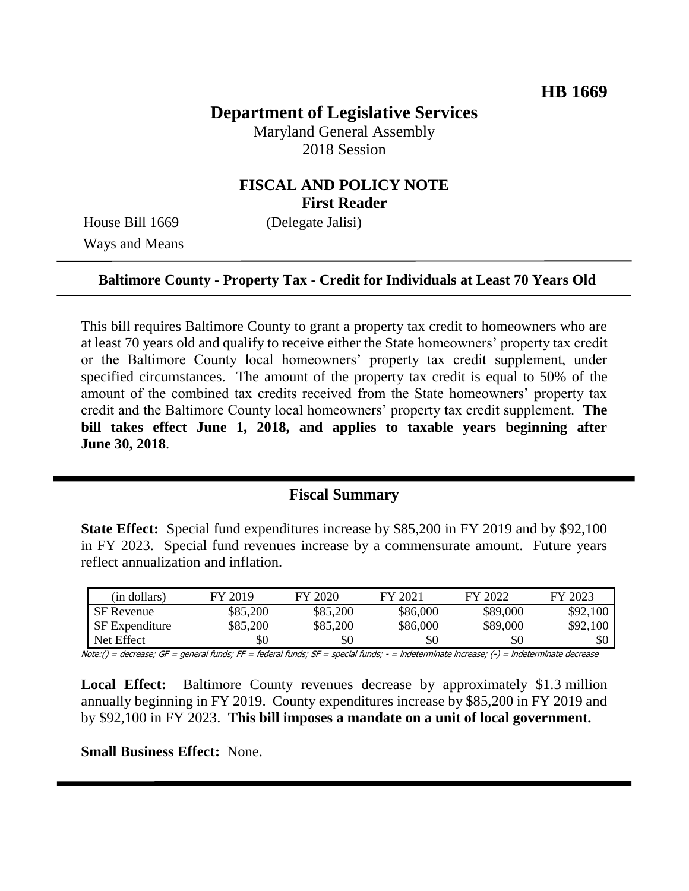# **Department of Legislative Services**

Maryland General Assembly 2018 Session

#### **FISCAL AND POLICY NOTE First Reader**

House Bill 1669 (Delegate Jalisi) Ways and Means

#### **Baltimore County - Property Tax - Credit for Individuals at Least 70 Years Old**

This bill requires Baltimore County to grant a property tax credit to homeowners who are at least 70 years old and qualify to receive either the State homeowners' property tax credit or the Baltimore County local homeowners' property tax credit supplement, under specified circumstances. The amount of the property tax credit is equal to 50% of the amount of the combined tax credits received from the State homeowners' property tax credit and the Baltimore County local homeowners' property tax credit supplement. **The bill takes effect June 1, 2018, and applies to taxable years beginning after June 30, 2018**.

#### **Fiscal Summary**

**State Effect:** Special fund expenditures increase by \$85,200 in FY 2019 and by \$92,100 in FY 2023. Special fund revenues increase by a commensurate amount. Future years reflect annualization and inflation.

| (in dollars)          | FY 2019  | FY 2020  | FY 2021  | FY 2022  | FY 2023  |
|-----------------------|----------|----------|----------|----------|----------|
| <b>SF</b> Revenue     | \$85,200 | \$85,200 | \$86,000 | \$89,000 | \$92,100 |
| <b>SF</b> Expenditure | \$85,200 | \$85,200 | \$86,000 | \$89,000 | \$92,100 |
| Net Effect            | \$0      | \$0      | \$0      | \$0      | \$0      |

Note:() = decrease; GF = general funds; FF = federal funds; SF = special funds; - = indeterminate increase; (-) = indeterminate decrease

**Local Effect:** Baltimore County revenues decrease by approximately \$1.3 million annually beginning in FY 2019. County expenditures increase by \$85,200 in FY 2019 and by \$92,100 in FY 2023. **This bill imposes a mandate on a unit of local government.**

**Small Business Effect:** None.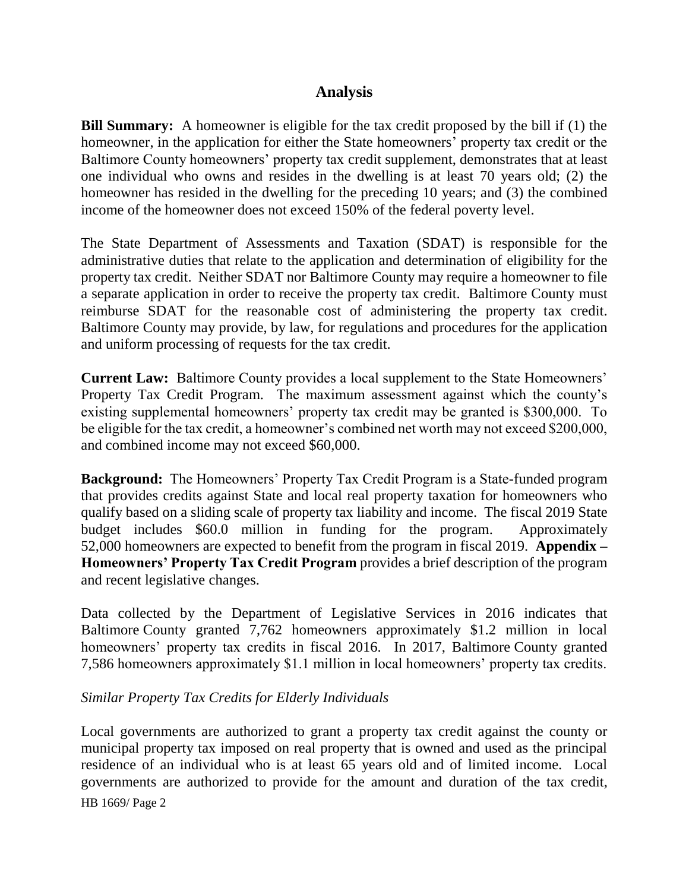## **Analysis**

**Bill Summary:** A homeowner is eligible for the tax credit proposed by the bill if (1) the homeowner, in the application for either the State homeowners' property tax credit or the Baltimore County homeowners' property tax credit supplement, demonstrates that at least one individual who owns and resides in the dwelling is at least 70 years old; (2) the homeowner has resided in the dwelling for the preceding 10 years; and (3) the combined income of the homeowner does not exceed 150% of the federal poverty level.

The State Department of Assessments and Taxation (SDAT) is responsible for the administrative duties that relate to the application and determination of eligibility for the property tax credit. Neither SDAT nor Baltimore County may require a homeowner to file a separate application in order to receive the property tax credit. Baltimore County must reimburse SDAT for the reasonable cost of administering the property tax credit. Baltimore County may provide, by law, for regulations and procedures for the application and uniform processing of requests for the tax credit.

**Current Law:** Baltimore County provides a local supplement to the State Homeowners' Property Tax Credit Program.The maximum assessment against which the county's existing supplemental homeowners' property tax credit may be granted is \$300,000. To be eligible for the tax credit, a homeowner's combined net worth may not exceed \$200,000, and combined income may not exceed \$60,000.

**Background:** The Homeowners' Property Tax Credit Program is a State-funded program that provides credits against State and local real property taxation for homeowners who qualify based on a sliding scale of property tax liability and income. The fiscal 2019 State budget includes \$60.0 million in funding for the program. Approximately 52,000 homeowners are expected to benefit from the program in fiscal 2019. **Appendix – Homeowners' Property Tax Credit Program** provides a brief description of the program and recent legislative changes.

Data collected by the Department of Legislative Services in 2016 indicates that Baltimore County granted 7,762 homeowners approximately \$1.2 million in local homeowners' property tax credits in fiscal 2016. In 2017, Baltimore County granted 7,586 homeowners approximately \$1.1 million in local homeowners' property tax credits.

*Similar Property Tax Credits for Elderly Individuals*

HB 1669/ Page 2 Local governments are authorized to grant a property tax credit against the county or municipal property tax imposed on real property that is owned and used as the principal residence of an individual who is at least 65 years old and of limited income. Local governments are authorized to provide for the amount and duration of the tax credit,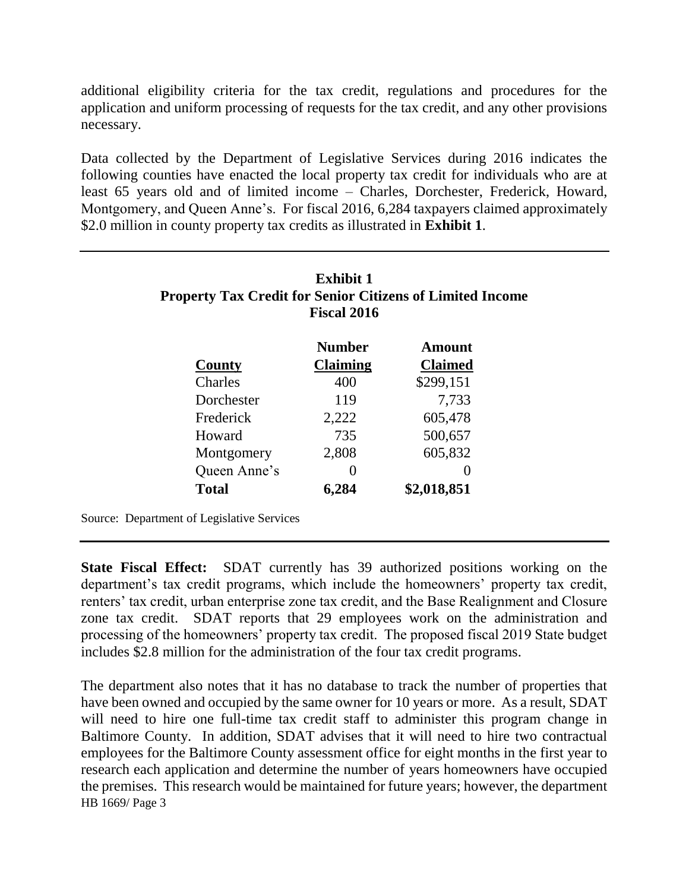additional eligibility criteria for the tax credit, regulations and procedures for the application and uniform processing of requests for the tax credit, and any other provisions necessary.

Data collected by the Department of Legislative Services during 2016 indicates the following counties have enacted the local property tax credit for individuals who are at least 65 years old and of limited income – Charles, Dorchester, Frederick, Howard, Montgomery, and Queen Anne's. For fiscal 2016, 6,284 taxpayers claimed approximately \$2.0 million in county property tax credits as illustrated in **Exhibit 1**.

|              | <b>Property Tax Credit for Senior Citizens of Limited Income</b><br><b>Fiscal 2016</b> |                |  |
|--------------|----------------------------------------------------------------------------------------|----------------|--|
|              | <b>Number</b>                                                                          | Amount         |  |
| County       | Claiming                                                                               | <b>Claimed</b> |  |
| Charles      | 400                                                                                    | \$299,151      |  |
| Dorchester   | 119                                                                                    | 7,733          |  |
| Frederick    | 2,222                                                                                  | 605,478        |  |
| Howard       | 735                                                                                    | 500,657        |  |
| Montgomery   | 2,808                                                                                  | 605,832        |  |
| Queen Anne's | $\mathcal{O}$                                                                          | 0              |  |
| <b>Total</b> | 6,284                                                                                  | \$2,018,851    |  |

Source: Department of Legislative Services

**State Fiscal Effect:** SDAT currently has 39 authorized positions working on the department's tax credit programs, which include the homeowners' property tax credit, renters' tax credit, urban enterprise zone tax credit, and the Base Realignment and Closure zone tax credit. SDAT reports that 29 employees work on the administration and processing of the homeowners' property tax credit. The proposed fiscal 2019 State budget includes \$2.8 million for the administration of the four tax credit programs.

HB 1669/ Page 3 The department also notes that it has no database to track the number of properties that have been owned and occupied by the same owner for 10 years or more. As a result, SDAT will need to hire one full-time tax credit staff to administer this program change in Baltimore County. In addition, SDAT advises that it will need to hire two contractual employees for the Baltimore County assessment office for eight months in the first year to research each application and determine the number of years homeowners have occupied the premises. This research would be maintained for future years; however, the department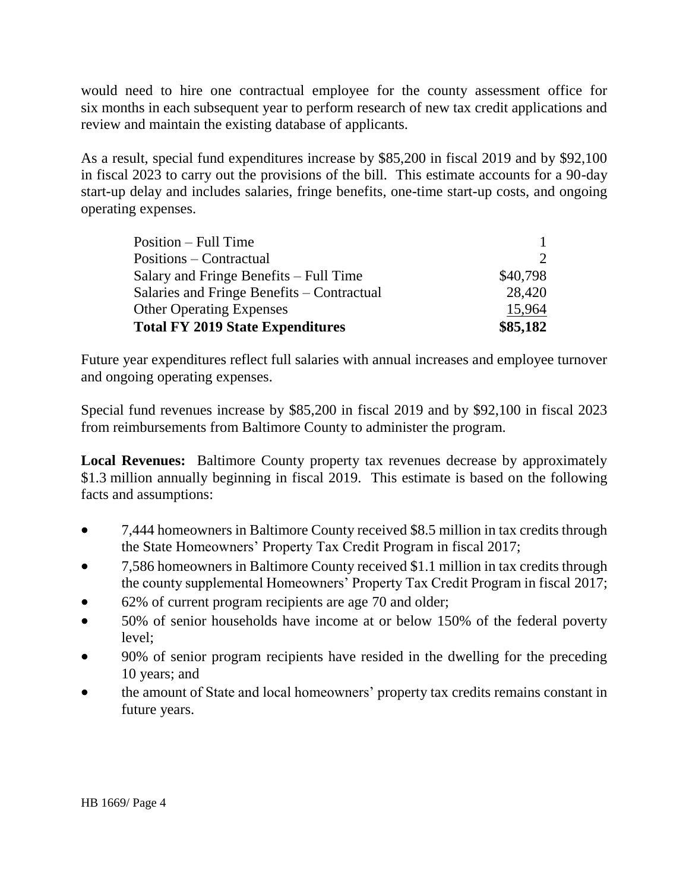would need to hire one contractual employee for the county assessment office for six months in each subsequent year to perform research of new tax credit applications and review and maintain the existing database of applicants.

As a result, special fund expenditures increase by \$85,200 in fiscal 2019 and by \$92,100 in fiscal 2023 to carry out the provisions of the bill. This estimate accounts for a 90-day start-up delay and includes salaries, fringe benefits, one-time start-up costs, and ongoing operating expenses.

| <b>Other Operating Expenses</b>            | 15,964                |
|--------------------------------------------|-----------------------|
| Salaries and Fringe Benefits – Contractual | 28,420                |
| Salary and Fringe Benefits – Full Time     | \$40,798              |
| Positions – Contractual                    | $\mathcal{D}_{\cdot}$ |
| Position – Full Time                       |                       |
|                                            |                       |

Future year expenditures reflect full salaries with annual increases and employee turnover and ongoing operating expenses.

Special fund revenues increase by \$85,200 in fiscal 2019 and by \$92,100 in fiscal 2023 from reimbursements from Baltimore County to administer the program.

**Local Revenues:** Baltimore County property tax revenues decrease by approximately \$1.3 million annually beginning in fiscal 2019. This estimate is based on the following facts and assumptions:

- 7,444 homeowners in Baltimore County received \$8.5 million in tax credits through the State Homeowners' Property Tax Credit Program in fiscal 2017;
- 7,586 homeowners in Baltimore County received \$1.1 million in tax credits through the county supplemental Homeowners' Property Tax Credit Program in fiscal 2017;
- 62% of current program recipients are age 70 and older;
- 50% of senior households have income at or below 150% of the federal poverty level;
- 90% of senior program recipients have resided in the dwelling for the preceding 10 years; and
- the amount of State and local homeowners' property tax credits remains constant in future years.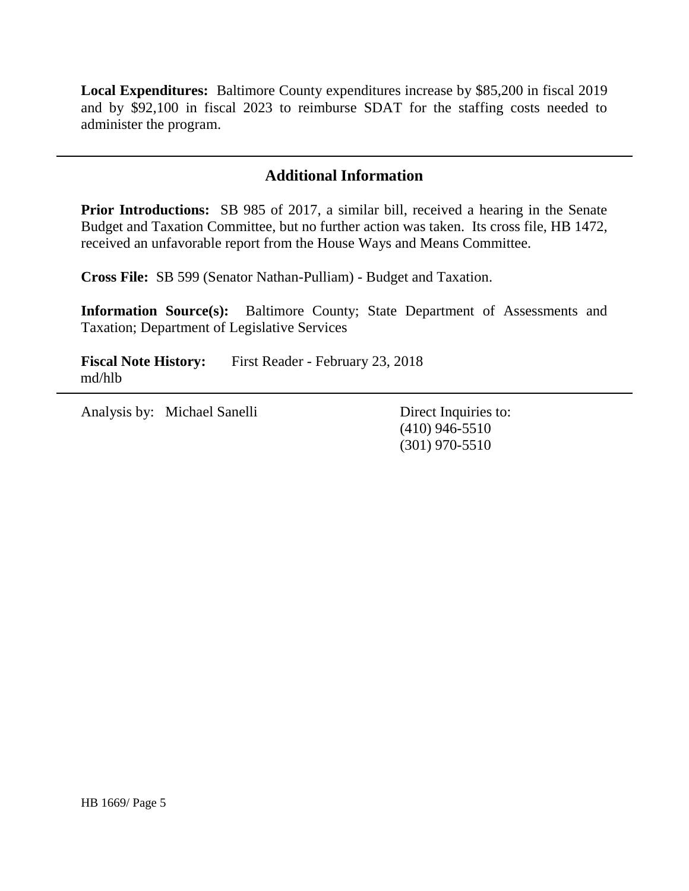**Local Expenditures:** Baltimore County expenditures increase by \$85,200 in fiscal 2019 and by \$92,100 in fiscal 2023 to reimburse SDAT for the staffing costs needed to administer the program.

## **Additional Information**

**Prior Introductions:** SB 985 of 2017, a similar bill, received a hearing in the Senate Budget and Taxation Committee, but no further action was taken. Its cross file, HB 1472, received an unfavorable report from the House Ways and Means Committee.

**Cross File:** SB 599 (Senator Nathan-Pulliam) - Budget and Taxation.

**Information Source(s):** Baltimore County; State Department of Assessments and Taxation; Department of Legislative Services

**Fiscal Note History:** First Reader - February 23, 2018 md/hlb

Analysis by: Michael Sanelli Direct Inquiries to:

(410) 946-5510 (301) 970-5510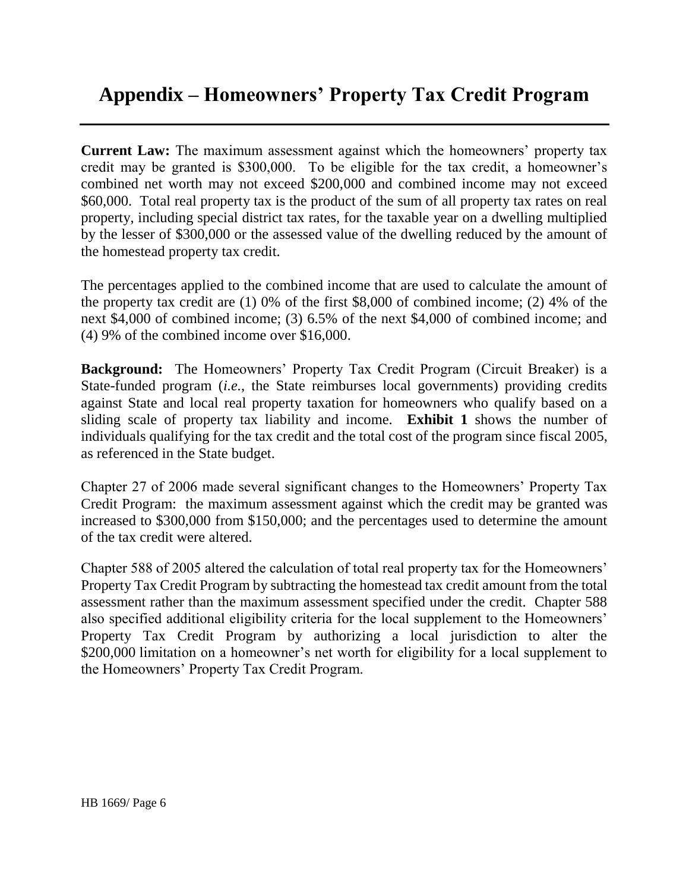# **Appendix – Homeowners' Property Tax Credit Program**

**Current Law:** The maximum assessment against which the homeowners' property tax credit may be granted is \$300,000. To be eligible for the tax credit, a homeowner's combined net worth may not exceed \$200,000 and combined income may not exceed \$60,000. Total real property tax is the product of the sum of all property tax rates on real property, including special district tax rates, for the taxable year on a dwelling multiplied by the lesser of \$300,000 or the assessed value of the dwelling reduced by the amount of the homestead property tax credit.

The percentages applied to the combined income that are used to calculate the amount of the property tax credit are (1) 0% of the first \$8,000 of combined income; (2) 4% of the next \$4,000 of combined income; (3) 6.5% of the next \$4,000 of combined income; and (4) 9% of the combined income over \$16,000.

**Background:** The Homeowners' Property Tax Credit Program (Circuit Breaker) is a State-funded program (*i.e.*, the State reimburses local governments) providing credits against State and local real property taxation for homeowners who qualify based on a sliding scale of property tax liability and income. **Exhibit 1** shows the number of individuals qualifying for the tax credit and the total cost of the program since fiscal 2005, as referenced in the State budget.

Chapter 27 of 2006 made several significant changes to the Homeowners' Property Tax Credit Program: the maximum assessment against which the credit may be granted was increased to \$300,000 from \$150,000; and the percentages used to determine the amount of the tax credit were altered.

Chapter 588 of 2005 altered the calculation of total real property tax for the Homeowners' Property Tax Credit Program by subtracting the homestead tax credit amount from the total assessment rather than the maximum assessment specified under the credit. Chapter 588 also specified additional eligibility criteria for the local supplement to the Homeowners' Property Tax Credit Program by authorizing a local jurisdiction to alter the \$200,000 limitation on a homeowner's net worth for eligibility for a local supplement to the Homeowners' Property Tax Credit Program.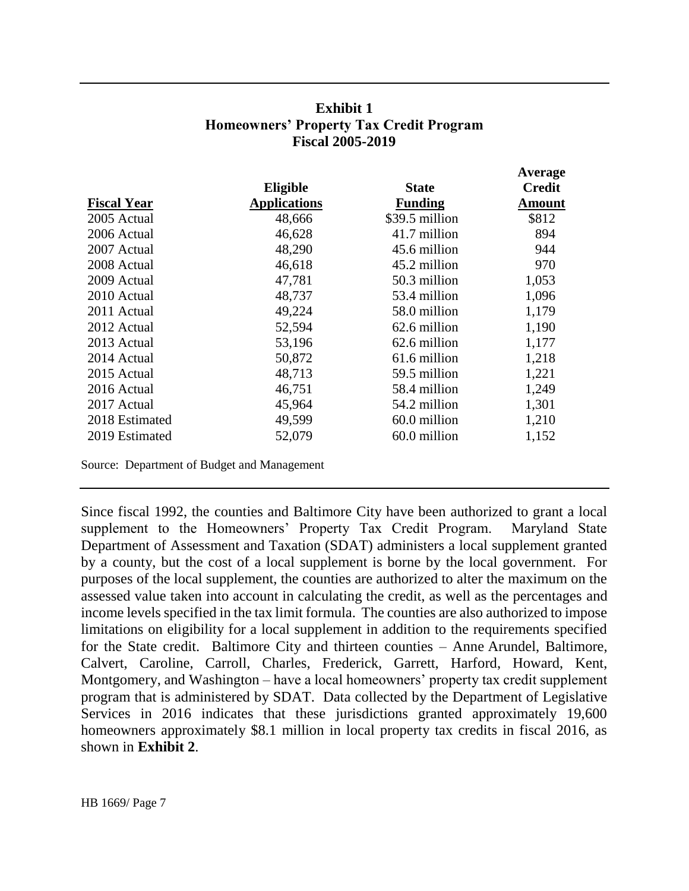#### **Exhibit 1 Homeowners' Property Tax Credit Program Fiscal 2005-2019**

**Average**

|                    |                     |                | $A$ vci age   |  |
|--------------------|---------------------|----------------|---------------|--|
|                    | Eligible            | <b>State</b>   | <b>Credit</b> |  |
| <b>Fiscal Year</b> | <b>Applications</b> | <b>Funding</b> | <b>Amount</b> |  |
| 2005 Actual        | 48,666              | \$39.5 million | \$812         |  |
| 2006 Actual        | 46,628              | 41.7 million   | 894           |  |
| 2007 Actual        | 48,290              | 45.6 million   | 944           |  |
| 2008 Actual        | 46,618              | 45.2 million   | 970           |  |
| 2009 Actual        | 47,781              | 50.3 million   | 1,053         |  |
| 2010 Actual        | 48,737              | 53.4 million   | 1,096         |  |
| 2011 Actual        | 49,224              | 58.0 million   | 1,179         |  |
| 2012 Actual        | 52,594              | 62.6 million   | 1,190         |  |
| 2013 Actual        | 53,196              | 62.6 million   | 1,177         |  |
| 2014 Actual        | 50,872              | 61.6 million   | 1,218         |  |
| 2015 Actual        | 48,713              | 59.5 million   | 1,221         |  |
| 2016 Actual        | 46,751              | 58.4 million   | 1,249         |  |
| 2017 Actual        | 45,964              | 54.2 million   | 1,301         |  |
| 2018 Estimated     | 49,599              | 60.0 million   | 1,210         |  |
| 2019 Estimated     | 52,079              | 60.0 million   | 1,152         |  |
|                    |                     |                |               |  |

Source: Department of Budget and Management

Since fiscal 1992, the counties and Baltimore City have been authorized to grant a local supplement to the Homeowners' Property Tax Credit Program. Maryland State Department of Assessment and Taxation (SDAT) administers a local supplement granted by a county, but the cost of a local supplement is borne by the local government. For purposes of the local supplement, the counties are authorized to alter the maximum on the assessed value taken into account in calculating the credit, as well as the percentages and income levels specified in the tax limit formula. The counties are also authorized to impose limitations on eligibility for a local supplement in addition to the requirements specified for the State credit. Baltimore City and thirteen counties – Anne Arundel, Baltimore, Calvert, Caroline, Carroll, Charles, Frederick, Garrett, Harford, Howard, Kent, Montgomery, and Washington – have a local homeowners' property tax credit supplement program that is administered by SDAT. Data collected by the Department of Legislative Services in 2016 indicates that these jurisdictions granted approximately 19,600 homeowners approximately \$8.1 million in local property tax credits in fiscal 2016, as shown in **Exhibit 2**.